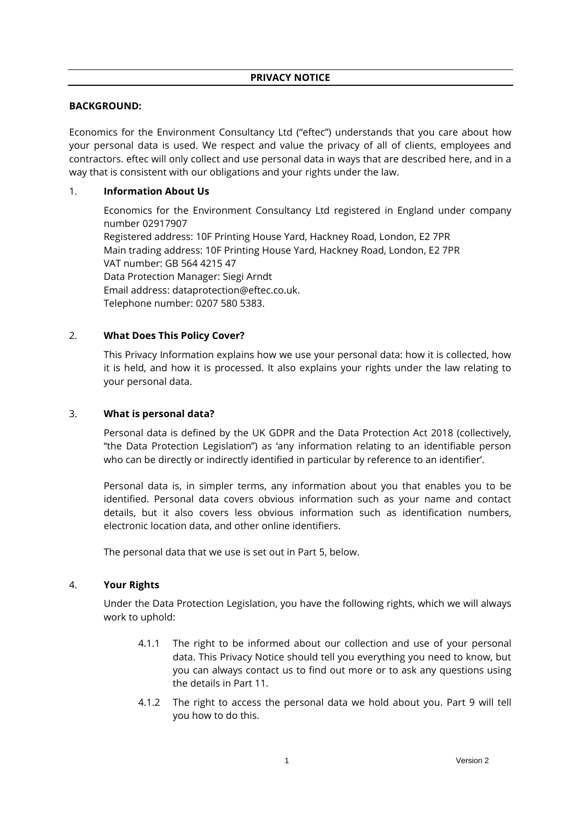## **BACKGROUND:**

Economics for the Environment Consultancy Ltd ("eftec") understands that you care about how your personal data is used. We respect and value the privacy of all of clients, employees and contractors. eftec will only collect and use personal data in ways that are described here, and in a way that is consistent with our obligations and your rights under the law.

## 1. **Information About Us**

Economics for the Environment Consultancy Ltd registered in England under company number 02917907 Registered address: 10F Printing House Yard, Hackney Road, London, E2 7PR Main trading address: 10F Printing House Yard, Hackney Road, London, E2 7PR VAT number: GB 564 4215 47 Data Protection Manager: Siegi Arndt Email address: dataprotection@eftec.co.uk. Telephone number: 0207 580 5383.

# 2. **What Does This Policy Cover?**

This Privacy Information explains how we use your personal data: how it is collected, how it is held, and how it is processed. It also explains your rights under the law relating to your personal data.

## 3. **What is personal data?**

Personal data is defined by the UK GDPR and the Data Protection Act 2018 (collectively, "the Data Protection Legislation") as 'any information relating to an identifiable person who can be directly or indirectly identified in particular by reference to an identifier'.

Personal data is, in simpler terms, any information about you that enables you to be identified. Personal data covers obvious information such as your name and contact details, but it also covers less obvious information such as identification numbers, electronic location data, and other online identifiers.

The personal data that we use is set out in Part [5,](#page-1-0) below.

## 4. **Your Rights**

Under the Data Protection Legislation, you have the following rights, which we will always work to uphold:

- 4.1.1 The right to be informed about our collection and use of your personal data. This Privacy Notice should tell you everything you need to know, but you can always contact us to find out more or to ask any questions using the details in Part [11.](#page-4-0)
- 4.1.2 The right to access the personal data we hold about you. Part [9](#page-3-0) will tell you how to do this.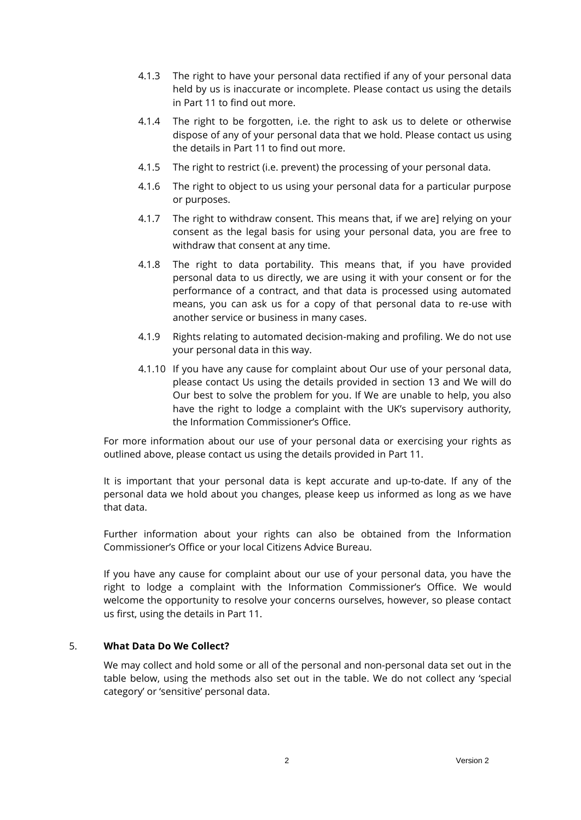- 4.1.3 The right to have your personal data rectified if any of your personal data held by us is inaccurate or incomplete. Please contact us using the details in Part [11](#page-4-0) to find out more.
- 4.1.4 The right to be forgotten, i.e. the right to ask us to delete or otherwise dispose of any of your personal data that we hold. Please contact us using the details in Part [11](#page-4-0) to find out more.
- 4.1.5 The right to restrict (i.e. prevent) the processing of your personal data.
- 4.1.6 The right to object to us using your personal data for a particular purpose or purposes.
- 4.1.7 The right to withdraw consent. This means that, if we are] relying on your consent as the legal basis for using your personal data, you are free to withdraw that consent at any time.
- 4.1.8 The right to data portability. This means that, if you have provided personal data to us directly, we are using it with your consent or for the performance of a contract, and that data is processed using automated means, you can ask us for a copy of that personal data to re-use with another service or business in many cases.
- 4.1.9 Rights relating to automated decision-making and profiling. We do not use your personal data in this way.
- 4.1.10 If you have any cause for complaint about Our use of your personal data, please contact Us using the details provided in section 13 and We will do Our best to solve the problem for you. If We are unable to help, you also have the right to lodge a complaint with the UK's supervisory authority, the Information Commissioner's Office.

For more information about our use of your personal data or exercising your rights as outlined above, please contact us using the details provided in Part [11.](#page-4-0)

It is important that your personal data is kept accurate and up-to-date. If any of the personal data we hold about you changes, please keep us informed as long as we have that data.

Further information about your rights can also be obtained from the Information Commissioner's Office or your local Citizens Advice Bureau.

If you have any cause for complaint about our use of your personal data, you have the right to lodge a complaint with the Information Commissioner's Office. We would welcome the opportunity to resolve your concerns ourselves, however, so please contact us first, using the details in Part 11.

#### <span id="page-1-0"></span>5. **What Data Do We Collect?**

We may collect and hold some or all of the personal and non-personal data set out in the table below, using the methods also set out in the table. We do not collect any 'special category' or 'sensitive' personal data.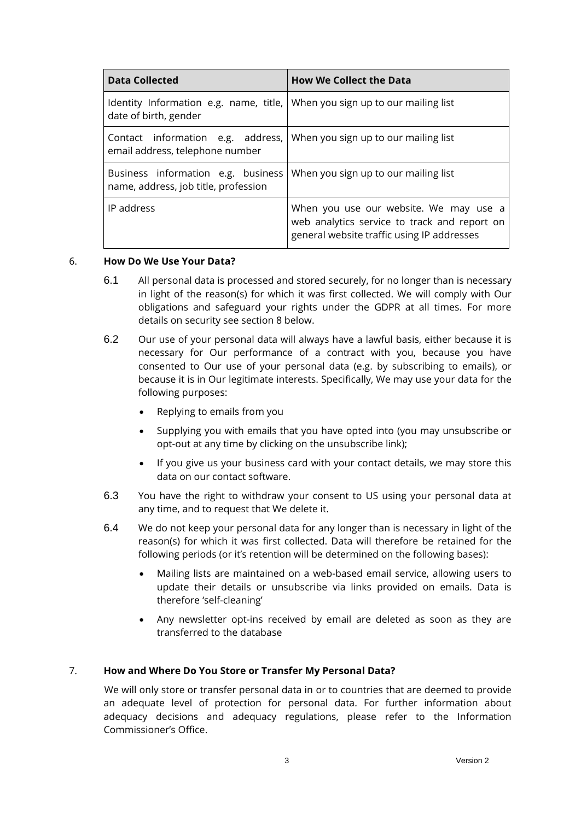| <b>Data Collected</b>                                                                                     | <b>How We Collect the Data</b>                                                                                                       |
|-----------------------------------------------------------------------------------------------------------|--------------------------------------------------------------------------------------------------------------------------------------|
| Identity Information e.g. name, title, When you sign up to our mailing list<br>date of birth, gender      |                                                                                                                                      |
| Contact information e.g. address, When you sign up to our mailing list<br>email address, telephone number |                                                                                                                                      |
| Business information e.g. business<br>name, address, job title, profession                                | When you sign up to our mailing list                                                                                                 |
| IP address                                                                                                | When you use our website. We may use a<br>web analytics service to track and report on<br>general website traffic using IP addresses |

#### 6. **How Do We Use Your Data?**

- 6.1 All personal data is processed and stored securely, for no longer than is necessary in light of the reason(s) for which it was first collected. We will comply with Our obligations and safeguard your rights under the GDPR at all times. For more details on security see section 8 below.
- 6.2 Our use of your personal data will always have a lawful basis, either because it is necessary for Our performance of a contract with you, because you have consented to Our use of your personal data (e.g. by subscribing to emails), or because it is in Our legitimate interests. Specifically, We may use your data for the following purposes:
	- Replying to emails from you
	- Supplying you with emails that you have opted into (you may unsubscribe or opt-out at any time by clicking on the unsubscribe link);
	- If you give us your business card with your contact details, we may store this data on our contact software.
- 6.3 You have the right to withdraw your consent to US using your personal data at any time, and to request that We delete it.
- 6.4 We do not keep your personal data for any longer than is necessary in light of the reason(s) for which it was first collected. Data will therefore be retained for the following periods (or it's retention will be determined on the following bases):
	- Mailing lists are maintained on a web-based email service, allowing users to update their details or unsubscribe via links provided on emails. Data is therefore 'self-cleaning'
	- Any newsletter opt-ins received by email are deleted as soon as they are transferred to the database

## 7. **How and Where Do You Store or Transfer My Personal Data?**

We will only store or transfer personal data in or to countries that are deemed to provide an adequate level of protection for personal data. For further information about adequacy decisions and adequacy regulations, please refer to the Information Commissioner's Office.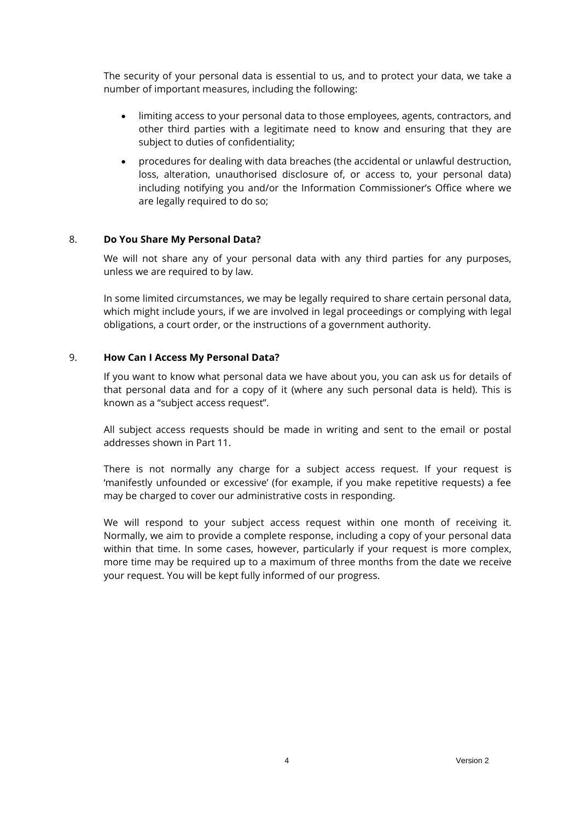The security of your personal data is essential to us, and to protect your data, we take a number of important measures, including the following:

- limiting access to your personal data to those employees, agents, contractors, and other third parties with a legitimate need to know and ensuring that they are subject to duties of confidentiality;
- procedures for dealing with data breaches (the accidental or unlawful destruction, loss, alteration, unauthorised disclosure of, or access to, your personal data) including notifying you and/or the Information Commissioner's Office where we are legally required to do so;

### 8. **Do You Share My Personal Data?**

We will not share any of your personal data with any third parties for any purposes, unless we are required to by law.

In some limited circumstances, we may be legally required to share certain personal data, which might include yours, if we are involved in legal proceedings or complying with legal obligations, a court order, or the instructions of a government authority.

#### <span id="page-3-0"></span>9. **How Can I Access My Personal Data?**

If you want to know what personal data we have about you, you can ask us for details of that personal data and for a copy of it (where any such personal data is held). This is known as a "subject access request".

All subject access requests should be made in writing and sent to the email or postal addresses shown in Part 11.

There is not normally any charge for a subject access request. If your request is 'manifestly unfounded or excessive' (for example, if you make repetitive requests) a fee may be charged to cover our administrative costs in responding.

We will respond to your subject access request within one month of receiving it. Normally, we aim to provide a complete response, including a copy of your personal data within that time. In some cases, however, particularly if your request is more complex, more time may be required up to a maximum of three months from the date we receive your request. You will be kept fully informed of our progress.